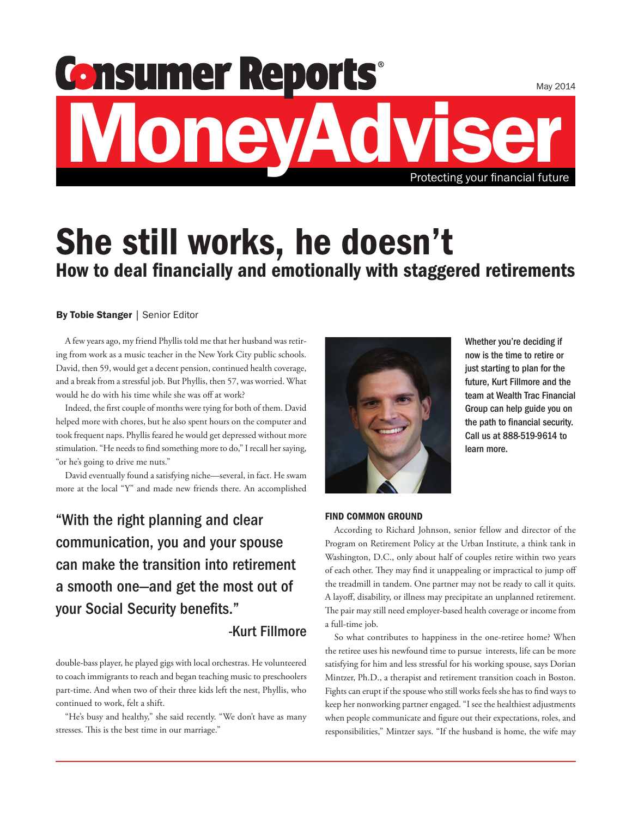# MoneyAdviser Protecting your financial future

# She still works, he doesn't How to deal financially and emotionally with staggered retirements

### By Tobie Stanger | Senior Editor

A few years ago, my friend Phyllis told me that her husband was retiring from work as a music teacher in the New York City public schools. David, then 59, would get a decent pension, continued health coverage, and a break from a stressful job. But Phyllis, then 57, was worried. What would he do with his time while she was off at work?

Indeed, the first couple of months were tying for both of them. David helped more with chores, but he also spent hours on the computer and took frequent naps. Phyllis feared he would get depressed without more stimulation. "He needs to find something more to do," I recall her saying, "or he's going to drive me nuts."

David eventually found a satisfying niche—several, in fact. He swam more at the local "Y" and made new friends there. An accomplished

"With the right planning and clear communication, you and your spouse can make the transition into retirement a smooth one—and get the most out of your Social Security benefits."

## -Kurt Fillmore

double-bass player, he played gigs with local orchestras. He volunteered to coach immigrants to reach and began teaching music to preschoolers part-time. And when two of their three kids left the nest, Phyllis, who continued to work, felt a shift.

"He's busy and healthy," she said recently. "We don't have as many stresses. This is the best time in our marriage."



Whether you're deciding if now is the time to retire or just starting to plan for the future, Kurt Fillmore and the team at Wealth Trac Financial Group can help guide you on the path to financial security. Call us at 888-519-9614 to learn more.

#### FIND COMMON GROUND

According to Richard Johnson, senior fellow and director of the Program on Retirement Policy at the Urban Institute, a think tank in Washington, D.C., only about half of couples retire within two years of each other. They may find it unappealing or impractical to jump off the treadmill in tandem. One partner may not be ready to call it quits. A layoff, disability, or illness may precipitate an unplanned retirement. The pair may still need employer-based health coverage or income from a full-time job.

So what contributes to happiness in the one-retiree home? When the retiree uses his newfound time to pursue interests, life can be more satisfying for him and less stressful for his working spouse, says Dorian Mintzer, Ph.D., a therapist and retirement transition coach in Boston. Fights can erupt if the spouse who still works feels she has to find ways to keep her nonworking partner engaged. "I see the healthiest adjustments when people communicate and figure out their expectations, roles, and responsibilities," Mintzer says. "If the husband is home, the wife may

May 2014